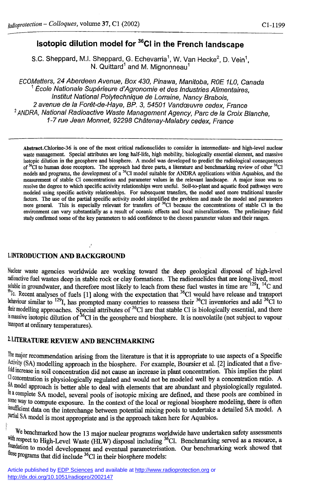# **Isotopie dilution model for <sup>36</sup>CI in the French landscape**

S.C. Sheppard, M.I. Sheppard, G. Echevarria', W. Van Hecke<sup>2</sup>, D. Vein<sup>1</sup>, N. Quittard and M. Mignonneau

ECOMatters, 24 Aberdeen Avenue, Box 430, Pinawa, Manitoba, ROE 1L0, Canada École Nationale Supérieure d'Agronomie et des Industries Alimentaires, Institut National Polytechnique de Lorraine, Nancy Brabois, 2 avenue de la Forêt-de-Haye, BP. 3, 54501 Vandœuvre cedex, France <sup>2</sup> ANDRA, National Radioactive Waste Management Agency, Parc de la Croix Blanche, 1-7 rue Jean Monnet, 92298 Châtenay-Malabry cedex, France

**Abstract. Chlorine-36 is one of the most critical radionuclides to consider in intermediate- and high-level nuclear waste management. Special attributes are long half-life, high mobility, biologically essential element, and massive isotopic dilution in the geosphere and biosphere. A model was developed to predict the radiological consequences of <sup>36</sup>C1 to human dose receptors. The approach had three parts, a literature and benchmarking review of other <sup>36</sup>C1 models and programs, the development of a 36C1 model suitable for ANDRA applications within Aquabios, and the measurement of stable CI concentrations and parameter values in the relevant landscape. A major issue was to resolve the degree to which specific activity relationships were useful. Soil-to-plant and aquatic food pathways were modeled using specific activity relationships. For subsequent transfers, the model used more traditional transfer factors. The use of the partial specific activity model simplified the problem and made the model and parameters**  more general. This is especially relevant for transfers of <sup>36</sup>CI because the concentrations of stable CI in the **environment can vary substantially as a result of oceanic effects and local mineralizations. The preliminary field study confirmed some of the key parameters to add confidence to the chosen parameter values and their ranges.** 

#### 1. **INTRODUCTION AND BACKGROUND**

Nuclear waste agencies worldwide are working toward the deep geological disposal of high-level radioactive fuel wastes deep in stable rock or clay formations. The radionuclides that are long-lived, most soluble in groundwater, and therefore most likely to leach from these fuel wastes in time are  $127$ ,  $17$  C and  $\int$ <sup>10</sup>. Recent analyses of fuels [1] along with the expectation that <sup>3°</sup>Cl would have release and transport behaviour similar to <sup>129</sup>I, has prompted many countries to reassess their <sup>30</sup>Cl inventories and add <sup>30</sup>Cl to their modelling approaches. Special attributes of  $^{\text{30}}$ CI are that stable CI is biologically essential, and there  $\frac{1}{2}$  is massive isotopic dilution of <sup>36</sup>Cl in the geosphere and biosphere. It is nonvolatile (not subject to vapour transport at ordinary temperatures).

# **<sup>2</sup> . LITERATURE REVIEW AND BENCHMARKING**

The major recommendation arising from the literature is that it is appropriate to use aspects of a Specific Activity (SA) modelling approach in the biosphere. For example, Boursier et al. [2] indicated that a fivefold increase in soil concentration did not cause an increase in plant concentration. This implies the plant CI concentration is physiologically regulated and would not be modeled well by a concentration ratio. A SA model approach is better able to deal with elements that are abundant and physiologically regulated. In a complete SA model, several pools of isotopic mixing are defined, and these pools are combined in some way to compute exposure. In the context of the local or regional biosphere modeling, there is often insufficient data on the interchange between potential mixing pools to undertake a detailed SA model. A partial SA model is most appropriate and is the approach taken here for Aquabios.

We benchmarked how the 13 major nuclear programs worldwide have undertaken safety assessments <sup>respect</sup> to High-Level Waste (HLW) disposal including <sup>3</sup>°Cl. Benchmarking served as a resource, a <sup>lation</sup> to model development and eventual parameterisation. Our benchmarking work showed that Programs that did include <sup>36</sup>C1 in their biosphere models: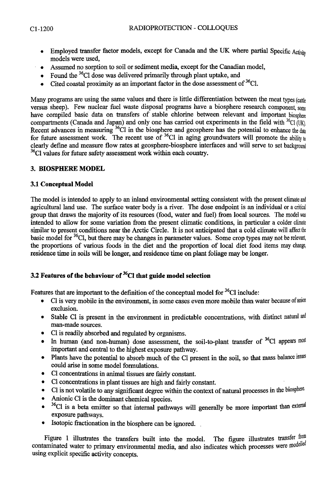- **•** Employed transfer factor models, except for Canada and the UK where partial Specific Activity **models were used,**
- **Assumed no sorption to soil or sediment media, except for the Canadian model,**
- **Found the** <sup>36</sup>C1 **dose was delivered primarily through plant uptake, and**
- **Cited coastal proximity as an important factor in the dose assessment of** <sup>36</sup>C1.

**Many programs are using the same values and there is little differentiation between the meat types** (cattle **versus sheep). Few nuclear fuel waste disposal programs have a biosphere research component,** some **have compiled basic data on transfers of stable chlorine between relevant and important** biosphere **compartments (Canada and Japan) and only one has carried out experiments in the field with** <sup>36</sup>C1 (UK), Recent advances in measuring <sup>30</sup>Cl in the biosphere and geosphere has the potential to enhance the data for future assessment work. The recent use of <sup>36</sup>C1 in aging groundwaters will promote the ability to **clearly define and measure flow rates at geosphere-biosphere interfaces and will serve to set** background <sup>36</sup>Cl values for future safety assessment work within each country.

## **3. BIOSPHERE MODEL**

### **3.1 Conceptual Model**

**The model is intended to apply to an inland environmental setting consistent with the present climate** and **agricultural land use. The surface water body is a river. The dose endpoint is an individual or** a critical **group that draws the majority of its resources (food, water and fuel) from local sources. The** model was **intended to allow for some variation from the present climatic conditions, in particular a colder** climate **similar to present conditions near the Arctic Circle. It is not anticipated that a cold climate will** affect the **basic model for** <sup>36</sup>C1, **but there may be changes in parameter values. Some crop types may not** be relevant, **the proportions of various foods in the diet and the proportion of local diet food items may** change, **residence time in soils will be longer, and residence time on plant foliage may be longer.** 

## **3.2 Features of the behaviour of <sup>36</sup>C1 that guide model selection**

**Features that are important to the defmition of the conceptual model for <sup>36</sup>C1 include:** 

- **CI is very mobile in the environment, in some cases even more mobile than water because of** anion **exclusion.**
- **Stable CI is present in the environment in predictable concentrations, with distinct natural** and **man-made sources.**
- **CI is readily absorbed and regulated by organisms.**
- In human (and non-human) dose assessment, the soil-to-plant transfer of <sup>3</sup><sup>o</sup>Cl appears most **important and central to the highest exposure pathway.**
- **Plants have the potential to absorb much of the CI present in the soil, so that mass balance** issues **could arise in some model formulations.**
- **CI concentrations in animal tissues are fairly constant.**
- **CI concentrations in plant tissues are high and fairly constant.**
- **CI is not volatile to any significant degree within the context of natural processes in the biosphere**
- **Anionic CI is the dorninant chemical species.**
- **•** <sup>36</sup>Cl is a beta emitter so that internal pathways will generally be more important than external **exposure pathways.**
- **Isotopic fractionation in the biosphere can be ignored. .**

Figure 1 illustrates the transfers built into the model. The figure illustrates transfer from contaminated water to primary environmental media, and also indicates which processes were modelled **using explicit specific activity concepts.**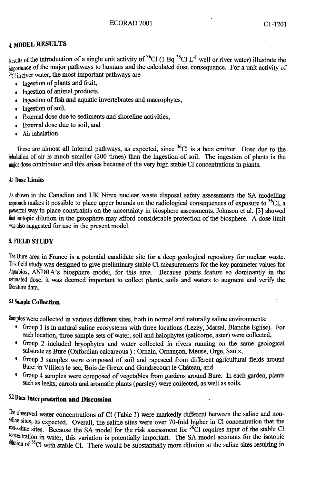# **4, MODEL RESULTS**

 $_{\text{Results}}$  of the introduction of a single unit activity of <sup>36</sup>Cl (1 Bq <sup>36</sup>Cl L<sup>-1</sup> well or river water) illustrate the importance of the major pathways to humans and the calculated dose consequence. For a unit activity of  $\frac{3}{2}$ C<sub>1</sub> in river water, the most important pathways are

- Ingestion of plants and fruit,
- Ingestion of animal products,
- Ingestion of fish and aquatic invertebrates and macrophytes,
- Ingestion of soil,
- External dose due to sediments and shoreline activities,
- External dose due to soil, and
- Air inhalation.

These are almost all internal pathways, as expected, since <sup>3</sup><sup>o</sup>Cl is a beta emitter. Dose due to the inhalation of air is much smaller (200 times) than the ingestion of soil. The ingestion of plants is the major dose contributor and this arises because of the very high stable CI concentrations in plants.

#### 4,1 **Dose Limits**

As shown in the Canadian and UK Nirex nuclear waste disposal safety assessments the SA modelling approach makes it possible to place upper bounds on the radiological consequences of exposure to <sup>5</sup>°Cl, a powerful way to place constraints on the uncertainty in biosphere assessments. Johnson et al. [3] showed that isotopic dilution in the geosphere may afford considerable protection of the biosphere. A dose limit was also suggested for use in the present model.

#### **5. FIELD STUDY**

The Bure area in France is a potential candidate site for a deep geological repository for nuclear waste. This field study was designed to give preliminary stable CI measurements for the key parameter values for Aquabios, ANDRA's biosphere model, for this area. Because plants feature so dominantly in the estimated dose, it was deemed important to collect plants, soils and waters to augment and verify the literature data.

#### **5**.1 **Sample Collection**

Samples were collected in various different sites, both in normal and naturally saline environments:

- Group 1 is in natural saline ecosystems with three locations (Lezey, Marsal, Blanche Eglise). For each location, three sample sets of water, soil and halophytes (salicorne, aster) were collected,
- Group 2 included bryophytes and water collected in rivers ruruiing on the same geological substrate as Bure (Oxfordian calcareous ) : Ornain, Ornancon, Meuse, Orge, Saulx,
- Group 3 samples were composed of soil and rapeseed from different agricultural fields around Bure: in Villiers le sec, Bois de Greux and Gondrecourt le Chateau, and
- Group 4 samples were composed of vegetables from gardens around Bure. In each garden, plants such as leeks, carrots and aromatic plants (parsley) were collected, as well as soils.

# **5-2 Data Interpretation and Discussion**

The observed water concentrations of CI (Table 1) were markedly different between the saline and nonsaline sites, as expected. Overall, the saline sites were over 70-fold higher in CI concentration that the <sup>non-saline</sup> sites. Because the SA model for the risk assessment for <sup>36</sup>Cl requires input of the stable Cl equivalent in water, this variation is potentially important. The SA model accounts for the isotopic **Dulution** of <sup>36</sup>Cl with stable CI. There would be substantially more dilution at the saline sites resulting in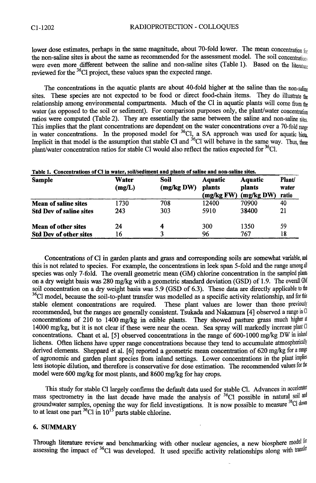lower dose estimates, perhaps in the same magnitude, about 70-fold lower. The mean concentration for the non-saline sites is about the same as recommended for the assessment model. The soil concentrations were even more different between the saline and non-saline sites (Table 1). Based on the literature reviewed for the <sup>36</sup>Cl project, these values span the expected range.

The concentrations in the aquatic plants are about 40-fold higher at the saline than the non-saline sites. These species are not expected to be food or direct food-chain items. They do illustrate the relationship among environmental compartments. Much of the CI in aquatic plants will come from the water (as opposed to the soil or sediment). For comparison purposes only, the plant/water concentration ratios were computed (Table 2). They are essentially the same between the saline and non-saline sites. This implies that the plant concentrations are dependent on the water concentrations over a 70-fold range in water concentrations. In the proposed model for <sup>36</sup>Cl, a SA approach was used for aquatic biota Implicit in that model is the assumption that stable CI and <sup>30</sup>CI will behave in the same way. Thus, these plant/water concentration ratios for stable CI would also reflect the ratios expected for  ${}^{36}$ CI.

| Table 1. Concentrations of Cl in water, soil/sediment and plants of saline and non-saline sites.<br><b>Sample</b> | Water<br>(mg/L) | Soil<br>(mg/kg DW) | <b>Aquatic</b><br>plants<br>(mg/kg FW) | <b>Aquatic</b><br>plants<br>(mg/kg DW) | Plant/<br>water<br>ratio |
|-------------------------------------------------------------------------------------------------------------------|-----------------|--------------------|----------------------------------------|----------------------------------------|--------------------------|
| <b>Mean of saline sites</b>                                                                                       | 1730            | 708                | 12400                                  | 70900                                  | 40                       |
| <b>Std Dev of saline sites</b>                                                                                    | 243             | 303                | 5910                                   | 38400                                  | 21                       |
| <b>Mean of other sites</b>                                                                                        | 24              | 4                  | 300                                    | 1350                                   | 59                       |
| <b>Std Dev of other sites</b>                                                                                     | 16              | 3                  | 96                                     | 767                                    | 18                       |

Concentrations of CI in garden plants and grass and corresponding soils are somewhat variable, and this is not related to species. For example, the concentrations in leek span 5-fold and the range among all species was only 7-fold. The overall geometric mean (GM) chlorine concentration in the sampled plants on a dry weight basis was 280 mg/kg with a geometric standard deviation (GSD) of 1.9. The overall GM soil concentration on a dry weight basis was 5.9 (GSD of 6.3). These data are directly applicable to the  $36$ Cl model, because the soil-to-plant transfer was modelled as a specific activity relationship, and for this stable element concentrations are required. These plant values are lower than those previously recommended, but the ranges are generally consistent. Tsukada and Nakamura [4] observed a range in CI concentrations of 210 to 1400 mg/kg in edible plants. They showed pasture grass much higher at 14000 mg/kg, but it is not clear if these were near the ocean. Sea spray will markedly increase plant  $Cl$ concentrations. Chant et al. [5] observed concentrations in the range of 600-1000 mg/kg DW in inland lichens. Often lichens have upper range concentrations because they tend to accumulate atmospherically derived elements. Sheppard et al. [6] reported a geometric mean concentration of 620 mg/kg for a range of agronomic and garden plant species from inland settings. Lower concentrations in the plant implies less isotopic dilution, and therefore is conservative for dose estimation. The recommended values for the model were 600 mg/kg for most plants, and 8600 mg/kg for hay crops.

This study for stable Cl largely confirms the default data used for stable Cl. Advances in accelerator mass spectrometry in the last decade have made the analysis of  $^{36}Cl$  possible in natural soil and groundwater samples, opening the way for field investigations. It is now possible to measure <sup>36</sup>Cl down to at least one part  ${}^{36}Cl$  in  $10^{13}$  parts stable chlorine.

#### **6. SUMMARY**

Through literature review and benchmarking with other nuclear agencies, a new biosphere model for assessing the impact of  $\rm{^{36}Cl}$  was developed. It used specific activity relationships along with transfer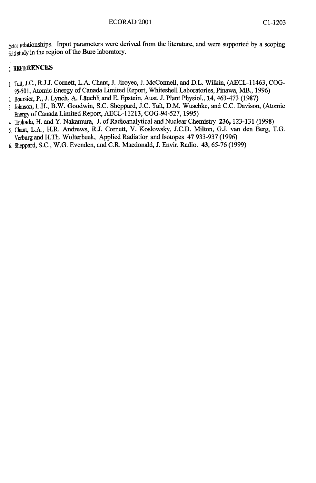factor relationships. Input parameters were derived from the literature, and were supported by a scoping field study in the region of the Bure laboratory.

## **7,** REFERENCES

- 1. Tait, J.C., R.J.J. Cornett, L.A. Chant, J. Jiroyec, J. McConnell, and D.L. Wilkin, (AECL-11463, COG-95-501, Atomic Energy of Canada Limited Report, Whiteshell Laboratories, Pinawa, MB., 1996)
- **2.** Boursier, P., J. Lynch, A. Lauchli and E. Epstein, Aust. J. Plant Physiol., **14,**463-473 (1987)
- 3. Johnson, L.H., B.W. Goodwin, S.C. Sheppard, J.C. Tait, D.M. Wuschke, and C.C. Davison, (Atomic Energy of Canada Limited Report, AECL-11213, COG-94-527,1995)
- **4.** Tsukada, H. and Y. Nakamura, J. of Radioanalytical and Nuclear Chemistry **236,**123-131 (1998)
- **5.** Chant, L.A., H.R. Andrews, R.J. Cornett, **V.** Koslowsky, LCD. Milton, G.J. van den Berg, T.G. VerburgandH.Th. Wolterbeek, Applied Radiation and Isotopes **47** 933-937(1996)
- **6.** Sheppard, S.C, W.G. Evenden, and CR. Macdonald, J. Envir. Radio. **43,**65-76 (1999)